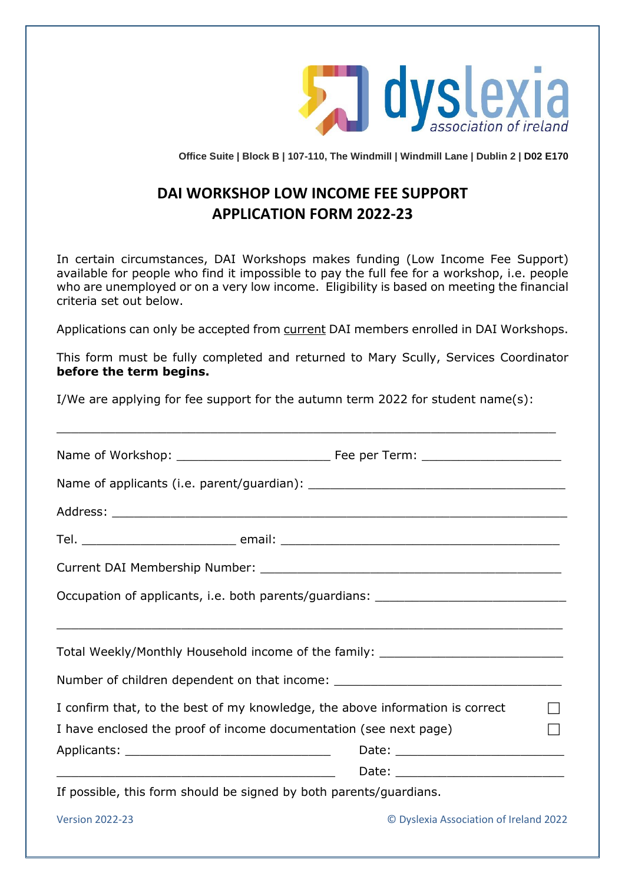

**Office Suite | Block B | 107-110, The Windmill | Windmill Lane | Dublin 2 | D02 E170**

# **DAI WORKSHOP LOW INCOME FEE SUPPORT APPLICATION FORM 2022-23**

In certain circumstances, DAI Workshops makes funding (Low Income Fee Support) available for people who find it impossible to pay the full fee for a workshop, i.e. people who are unemployed or on a very low income. Eligibility is based on meeting the financial criteria set out below.

Applications can only be accepted from current DAI members enrolled in DAI Workshops.

This form must be fully completed and returned to Mary Scully, Services Coordinator **before the term begins.**

I/We are applying for fee support for the autumn term 2022 for student name(s):

 $\_$  , and the set of the set of the set of the set of the set of the set of the set of the set of the set of the set of the set of the set of the set of the set of the set of the set of the set of the set of the set of th

| Occupation of applicants, i.e. both parents/guardians: _________________________                                     |  |  |
|----------------------------------------------------------------------------------------------------------------------|--|--|
| Total Weekly/Monthly Household income of the family: ___________________________                                     |  |  |
| Number of children dependent on that income: ___________________________________                                     |  |  |
| I confirm that, to the best of my knowledge, the above information is correct                                        |  |  |
| I have enclosed the proof of income documentation (see next page)                                                    |  |  |
|                                                                                                                      |  |  |
| <u> 2000 - 2000 - 2000 - 2000 - 2000 - 2000 - 2000 - 2000 - 2000 - 2000 - 2000 - 2000 - 2000 - 2000 - 2000 - 200</u> |  |  |
| If possible, this form should be signed by both parents/guardians.                                                   |  |  |

Version 2022-23 © Dyslexia Association of Ireland 2022